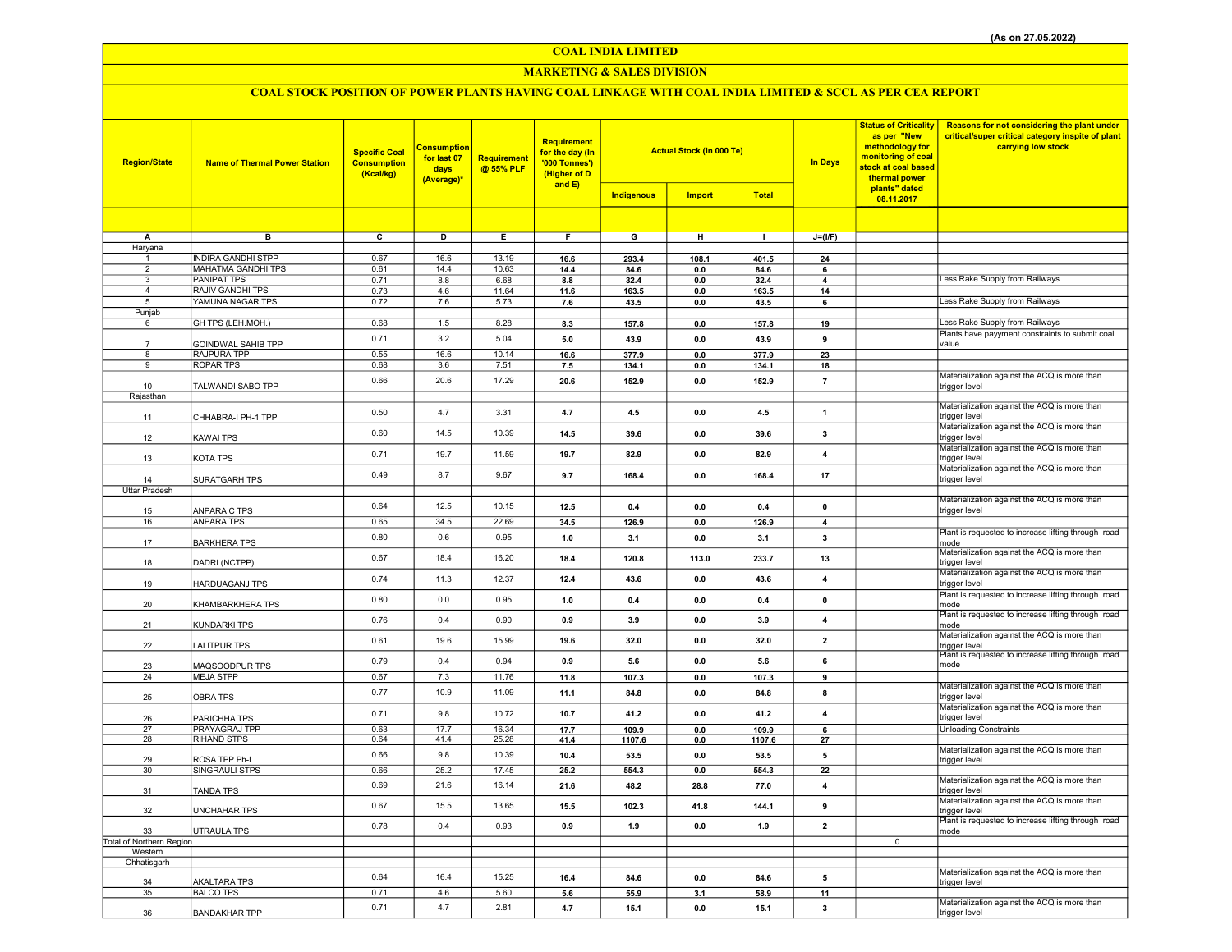#### MARKETING & SALES DIVISION

| <b>Region/State</b>                 | <b>Name of Thermal Power Station</b>            | <b>Specific Coal</b><br><b>Consumption</b><br>(Kcal/kg) | Consumption<br>for last 07<br>days<br>(Average)* | Requirement<br>@ 55% PLF | <b>Requirement</b><br>for the day (In<br>'000 Tonnes')<br>(Higher of D<br>and E) | <b>Actual Stock (In 000 Te)</b><br>Indigenous<br><b>Import</b> |                | <b>Status of Criticality</b><br>as per "New<br>methodology for<br>monitoring of coal<br><b>In Days</b><br>stock at coal based<br>thermal power<br>plants" dated<br><b>Total</b> |                               | Reasons for not considering the plant under<br>critical/super critical category inspite of plant<br>carrying low stock |                                                               |
|-------------------------------------|-------------------------------------------------|---------------------------------------------------------|--------------------------------------------------|--------------------------|----------------------------------------------------------------------------------|----------------------------------------------------------------|----------------|---------------------------------------------------------------------------------------------------------------------------------------------------------------------------------|-------------------------------|------------------------------------------------------------------------------------------------------------------------|---------------------------------------------------------------|
|                                     |                                                 |                                                         |                                                  |                          |                                                                                  |                                                                |                |                                                                                                                                                                                 |                               | 08.11.2017                                                                                                             |                                                               |
|                                     |                                                 |                                                         |                                                  |                          |                                                                                  |                                                                |                |                                                                                                                                                                                 |                               |                                                                                                                        |                                                               |
| A                                   | в                                               | c                                                       | D                                                | Е                        | F.                                                                               | G                                                              | н              | $\mathbf{I}$                                                                                                                                                                    | $J=(I/F)$                     |                                                                                                                        |                                                               |
| Haryana                             |                                                 |                                                         |                                                  |                          |                                                                                  |                                                                |                |                                                                                                                                                                                 |                               |                                                                                                                        |                                                               |
|                                     | <b>INDIRA GANDHI STPP</b>                       | 0.67                                                    | 16.6                                             | 13.19                    | 16.6                                                                             | 293.4                                                          | 108.1          | 401.5                                                                                                                                                                           | 24                            |                                                                                                                        |                                                               |
| $\overline{2}$<br>3                 | <b>MAHATMA GANDHI TPS</b><br><b>PANIPAT TPS</b> | 0.61                                                    | 14.4                                             | 10.63                    | 14.4                                                                             | 84.6                                                           | 0.0            | 84.6                                                                                                                                                                            | 6                             |                                                                                                                        | Less Rake Supply from Railways                                |
| $\overline{a}$                      | <b>RAJIV GANDHI TPS</b>                         | 0.71<br>0.73                                            | 8.8<br>4.6                                       | 6.68<br>11.64            | 8.8<br>11.6                                                                      | 32.4<br>163.5                                                  | $0.0\,$<br>0.0 | 32.4<br>163.5                                                                                                                                                                   | $\overline{\mathbf{A}}$<br>14 |                                                                                                                        |                                                               |
| 5                                   | YAMUNA NAGAR TPS                                | 0.72                                                    | 7.6                                              | 5.73                     | 7.6                                                                              | 43.5                                                           | 0.0            | 43.5                                                                                                                                                                            | 6                             |                                                                                                                        | Less Rake Supply from Railways                                |
| Punjab                              |                                                 |                                                         |                                                  |                          |                                                                                  |                                                                |                |                                                                                                                                                                                 |                               |                                                                                                                        |                                                               |
| 6                                   | GH TPS (LEH.MOH.)                               | 0.68                                                    | 1.5                                              | 8.28                     | 8.3                                                                              | 157.8                                                          | 0.0            | 157.8                                                                                                                                                                           | 19                            |                                                                                                                        | Less Rake Supply from Railways                                |
|                                     |                                                 | 0.71                                                    | 3.2                                              | 5.04                     | 5.0                                                                              | 43.9                                                           | 0.0            | 43.9                                                                                                                                                                            | 9                             |                                                                                                                        | Plants have payyment constraints to submit coal               |
| 7                                   | GOINDWAL SAHIB TPP                              |                                                         |                                                  |                          |                                                                                  |                                                                |                |                                                                                                                                                                                 |                               |                                                                                                                        | value                                                         |
| 8                                   | RAJPURA TPP                                     | 0.55                                                    | 16.6                                             | 10.14                    | 16.6                                                                             | 377.9                                                          | 0.0            | 377.9                                                                                                                                                                           | 23                            |                                                                                                                        |                                                               |
| 9                                   | <b>ROPAR TPS</b>                                | 0.68                                                    | 3.6                                              | 7.51                     | 7.5                                                                              | 134.1                                                          | $0.0\,$        | 134.1                                                                                                                                                                           | 18                            |                                                                                                                        | Materialization against the ACQ is more than                  |
| 10                                  | TALWANDI SABO TPP                               | 0.66                                                    | 20.6                                             | 17.29                    | 20.6                                                                             | 152.9                                                          | 0.0            | 152.9                                                                                                                                                                           | $\overline{7}$                |                                                                                                                        | trigger level                                                 |
| Rajasthan                           |                                                 |                                                         |                                                  |                          |                                                                                  |                                                                |                |                                                                                                                                                                                 |                               |                                                                                                                        |                                                               |
| 11                                  | CHHABRA-I PH-1 TPP                              | 0.50                                                    | 4.7                                              | 3.31                     | 4.7                                                                              | 4.5                                                            | 0.0            | 4.5                                                                                                                                                                             | $\mathbf{1}$                  |                                                                                                                        | Materialization against the ACQ is more than<br>trigger level |
| 12                                  | KAWAI TPS                                       | 0.60                                                    | 14.5                                             | 10.39                    | 14.5                                                                             | 39.6                                                           | 0.0            | 39.6                                                                                                                                                                            | 3                             |                                                                                                                        | Materialization against the ACQ is more than<br>trigger level |
| 13                                  | KOTA TPS                                        | 0.71                                                    | 19.7                                             | 11.59                    | 19.7                                                                             | 82.9                                                           | 0.0            | 82.9                                                                                                                                                                            | 4                             |                                                                                                                        | Materialization against the ACQ is more than<br>trigger level |
| 14                                  | SURATGARH TPS                                   | 0.49                                                    | 8.7                                              | 9.67                     | 9.7                                                                              | 168.4                                                          | 0.0            | 168.4                                                                                                                                                                           | 17                            |                                                                                                                        | Materialization against the ACQ is more than<br>trigger level |
| Uttar Pradesh                       |                                                 |                                                         |                                                  |                          |                                                                                  |                                                                |                |                                                                                                                                                                                 |                               |                                                                                                                        | Materialization against the ACQ is more than                  |
| 15                                  | ANPARA C TPS                                    | 0.64                                                    | 12.5                                             | 10.15                    | 12.5                                                                             | 0.4                                                            | 0.0            | 0.4                                                                                                                                                                             | $\pmb{\mathsf{o}}$            |                                                                                                                        | trigger level                                                 |
| 16                                  | <b>ANPARA TPS</b>                               | 0.65                                                    | 34.5                                             | 22.69                    | 34.5                                                                             | 126.9                                                          | 0.0            | 126.9                                                                                                                                                                           | $\overline{4}$                |                                                                                                                        |                                                               |
| 17                                  | <b>BARKHERA TPS</b>                             | 0.80                                                    | 0.6                                              | 0.95                     | 1.0                                                                              | 3.1                                                            | 0.0            | 3.1                                                                                                                                                                             | $\overline{\mathbf{3}}$       |                                                                                                                        | Plant is requested to increase lifting through road<br>mode   |
| 18                                  | DADRI (NCTPP)                                   | 0.67                                                    | 18.4                                             | 16.20                    | 18.4                                                                             | 120.8                                                          | 113.0          | 233.7                                                                                                                                                                           | 13                            |                                                                                                                        | Materialization against the ACQ is more than<br>trigger level |
| 19                                  | <b>HARDUAGANJ TPS</b>                           | 0.74                                                    | 11.3                                             | 12.37                    | 12.4                                                                             | 43.6                                                           | 0.0            | 43.6                                                                                                                                                                            | $\overline{4}$                |                                                                                                                        | Materialization against the ACQ is more than<br>trigger level |
| 20                                  | KHAMBARKHERA TPS                                | 0.80                                                    | $0.0\,$                                          | 0.95                     | 1.0                                                                              | 0.4                                                            | 0.0            | 0.4                                                                                                                                                                             | $\mathbf 0$                   |                                                                                                                        | Plant is requested to increase lifting through road<br>mode   |
| 21                                  | <b>KUNDARKI TPS</b>                             | 0.76                                                    | 0.4                                              | 0.90                     | 0.9                                                                              | 3.9                                                            | 0.0            | 3.9                                                                                                                                                                             | $\overline{4}$                |                                                                                                                        | Plant is requested to increase lifting through road<br>mode   |
| 22                                  | <b>LALITPUR TPS</b>                             | 0.61                                                    | 19.6                                             | 15.99                    | 19.6                                                                             | 32.0                                                           | 0.0            | 32.0                                                                                                                                                                            | $\overline{2}$                |                                                                                                                        | Materialization against the ACQ is more than<br>trigger level |
| 23                                  | MAQSOODPUR TPS                                  | 0.79                                                    | 0.4                                              | 0.94                     | 0.9                                                                              | 5.6                                                            | 0.0            | 5.6                                                                                                                                                                             | 6                             |                                                                                                                        | Plant is requested to increase lifting through road<br>mode   |
| 24                                  | <b>MEJA STPP</b>                                | 0.67                                                    | 7.3                                              | 11.76                    | 11.8                                                                             | 107.3                                                          | 0.0            | 107.3                                                                                                                                                                           | $\overline{9}$                |                                                                                                                        |                                                               |
|                                     |                                                 |                                                         |                                                  |                          |                                                                                  |                                                                |                |                                                                                                                                                                                 |                               |                                                                                                                        | Materialization against the ACQ is more than                  |
| 25                                  | <b>OBRA TPS</b>                                 | 0.77                                                    | 10.9                                             | 11.09                    | 11.1                                                                             | 84.8                                                           | 0.0            | 84.8                                                                                                                                                                            | 8                             |                                                                                                                        | trigger level<br>Materialization against the ACQ is more than |
| 26                                  | PARICHHA TPS                                    | 0.71                                                    | 9.8                                              | 10.72                    | 10.7                                                                             | 41.2                                                           | 0.0            | 41.2                                                                                                                                                                            | $\overline{\mathbf{4}}$       |                                                                                                                        | trigger level                                                 |
| 27                                  | PRAYAGRAJ TPP                                   | 0.63                                                    | 17.7                                             | 16.34                    | 17.7                                                                             | 109.9                                                          | 0.0            | 109.9                                                                                                                                                                           | 6                             |                                                                                                                        | <b>Unloading Constraints</b>                                  |
| 28                                  | <b>RIHAND STPS</b>                              | 0.64                                                    | 41.4                                             | 25.28                    | 41.4                                                                             | 1107.6                                                         | 0.0            | 1107.6                                                                                                                                                                          | 27                            |                                                                                                                        |                                                               |
| 29                                  | ROSA TPP Ph-I                                   | 0.66                                                    | 9.8                                              | 10.39                    | 10.4                                                                             | 53.5                                                           | 0.0            | 53.5                                                                                                                                                                            | 5                             |                                                                                                                        | Materialization against the ACQ is more than<br>trigger level |
| 30                                  | SINGRAULI STPS                                  | 0.66                                                    | 25.2                                             | 17.45                    | 25.2                                                                             | 554.3                                                          | 0.0            | 554.3                                                                                                                                                                           | 22                            |                                                                                                                        |                                                               |
|                                     |                                                 | 0.69                                                    | 21.6                                             | 16.14                    |                                                                                  |                                                                |                |                                                                                                                                                                                 |                               |                                                                                                                        | Materialization against the ACQ is more than                  |
| 31                                  | <b>TANDA TPS</b>                                |                                                         |                                                  |                          | 21.6                                                                             | 48.2                                                           | 28.8           | 77.0                                                                                                                                                                            | 4                             |                                                                                                                        | trigger level                                                 |
| 32                                  | UNCHAHAR TPS                                    | 0.67                                                    | 15.5                                             | 13.65                    | 15.5                                                                             | 102.3                                                          | 41.8           | 144.1                                                                                                                                                                           | 9                             |                                                                                                                        | Materialization against the ACQ is more than<br>trigger level |
| 33                                  | UTRAULA TPS                                     | 0.78                                                    | 0.4                                              | 0.93                     | 0.9                                                                              | 1.9                                                            | $0.0\,$        | 1.9                                                                                                                                                                             | $\overline{2}$                |                                                                                                                        | Plant is requested to increase lifting through road<br>mode   |
| Total of Northern Region<br>Western |                                                 |                                                         |                                                  |                          |                                                                                  |                                                                |                |                                                                                                                                                                                 |                               | $\overline{0}$                                                                                                         |                                                               |
| Chhatisgarh                         |                                                 |                                                         |                                                  |                          |                                                                                  |                                                                |                |                                                                                                                                                                                 |                               |                                                                                                                        |                                                               |
|                                     |                                                 | 0.64                                                    | 16.4                                             | 15.25                    | 16.4                                                                             | 84.6                                                           | 0.0            | 84.6                                                                                                                                                                            | 5                             |                                                                                                                        | Materialization against the ACQ is more than                  |
| 34<br>35                            | AKALTARA TPS<br><b>BALCO TPS</b>                | 0.71                                                    | 4.6                                              | 5.60                     |                                                                                  | 55.9                                                           | 3.1            |                                                                                                                                                                                 | 11                            |                                                                                                                        | trigger level                                                 |
|                                     |                                                 |                                                         |                                                  |                          | 5.6                                                                              |                                                                |                | 58.9                                                                                                                                                                            |                               |                                                                                                                        | Materialization against the ACQ is more than                  |
| 36                                  | <b>BANDAKHAR TPP</b>                            | 0.71                                                    | 4.7                                              | 2.81                     | 4.7                                                                              | 15.1                                                           | 0.0            | 15.1                                                                                                                                                                            | 3                             |                                                                                                                        | trigger level                                                 |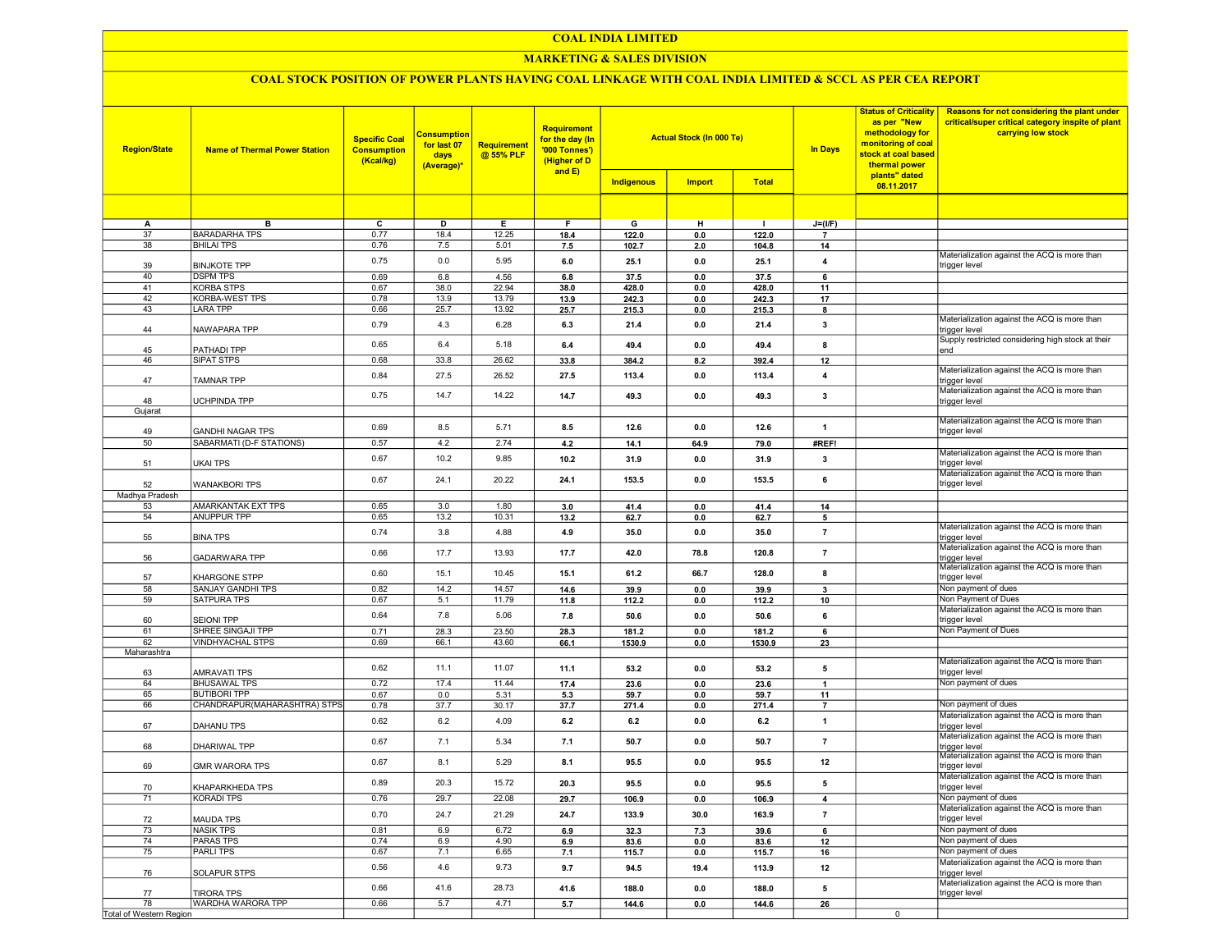#### MARKETING & SALES DIVISION

| <b>Region/State</b>     | <b>Name of Thermal Power Station</b>       | <b>Specific Coal</b><br><b>Consumption</b><br>(Kcal/kg) | <b>Consumption</b><br>for last 07<br>days<br>(Average)* | Requirement<br>@ 55% PLF | <b>Requirement</b><br>for the day (In<br>'000 Tonnes')<br>(Higher of D<br>and E) | <b>Actual Stock (In 000 Te)</b><br><b>Total</b><br><b>Indigenous</b><br><b>Import</b> |            | <b>Status of Criticality</b><br>as per "New<br>methodology for<br>monitoring of coal<br><b>In Days</b><br>stock at coal based<br>thermal power<br>plants" dated<br>08.11.2017 |                                | Reasons for not considering the plant under<br>critical/super critical category inspite of plant<br>carrying low stock |                                                               |
|-------------------------|--------------------------------------------|---------------------------------------------------------|---------------------------------------------------------|--------------------------|----------------------------------------------------------------------------------|---------------------------------------------------------------------------------------|------------|-------------------------------------------------------------------------------------------------------------------------------------------------------------------------------|--------------------------------|------------------------------------------------------------------------------------------------------------------------|---------------------------------------------------------------|
|                         |                                            |                                                         |                                                         |                          |                                                                                  |                                                                                       |            |                                                                                                                                                                               |                                |                                                                                                                        |                                                               |
|                         |                                            |                                                         |                                                         |                          |                                                                                  |                                                                                       |            |                                                                                                                                                                               |                                |                                                                                                                        |                                                               |
| Α<br>37                 | в<br><b>BARADARHA TPS</b>                  | C<br>0.77                                               | D<br>18.4                                               | Е.<br>12.25              | F.                                                                               | G                                                                                     | н          | п.                                                                                                                                                                            | $J=(UF)$                       |                                                                                                                        |                                                               |
| 38                      | <b>BHILAI TPS</b>                          | 0.76                                                    | 7.5                                                     | 5.01                     | 18.4<br>7.5                                                                      | 122.0<br>102.7                                                                        | 0.0<br>2.0 | 122.0<br>104.8                                                                                                                                                                | $\overline{\phantom{a}}$<br>14 |                                                                                                                        |                                                               |
|                         |                                            |                                                         |                                                         |                          |                                                                                  |                                                                                       |            |                                                                                                                                                                               |                                |                                                                                                                        | Materialization against the ACQ is more than                  |
| 39                      | <b>BINJKOTE TPP</b>                        | 0.75                                                    | 0.0                                                     | 5.95                     | 6.0                                                                              | 25.1                                                                                  | 0.0        | 25.1                                                                                                                                                                          | 4                              |                                                                                                                        | trigger level                                                 |
| 40                      | <b>DSPM TPS</b>                            | 0.69                                                    | 6.8                                                     | 4.56                     | 6.8                                                                              | 37.5                                                                                  | 0.0        | 37.5                                                                                                                                                                          | 6                              |                                                                                                                        |                                                               |
| 41<br>42                | <b>KORBA STPS</b><br>KORBA-WEST TPS        | 0.67<br>0.78                                            | 38.0<br>13.9                                            | 22.94<br>13.79           | 38.0<br>13.9                                                                     | 428.0<br>242.3                                                                        | 0.0        | 428.0<br>242.3                                                                                                                                                                | 11                             |                                                                                                                        |                                                               |
| 43                      | <b>LARA TPP</b>                            | 0.66                                                    | 25.7                                                    | 13.92                    | 25.7                                                                             | 215.3                                                                                 | 0.0<br>0.0 | 215.3                                                                                                                                                                         | 17<br>8                        |                                                                                                                        |                                                               |
|                         |                                            | 0.79                                                    | 4.3                                                     | 6.28                     | 6.3                                                                              |                                                                                       |            |                                                                                                                                                                               | 3                              |                                                                                                                        | Materialization against the ACQ is more than                  |
| 44                      | NAWAPARA TPP                               |                                                         |                                                         |                          |                                                                                  | 21.4                                                                                  | 0.0        | 21.4                                                                                                                                                                          |                                |                                                                                                                        | trigger level                                                 |
| 45                      | PATHADI TPP                                | 0.65                                                    | 6.4                                                     | 5.18                     | 6.4                                                                              | 49.4                                                                                  | 0.0        | 49.4                                                                                                                                                                          | 8                              |                                                                                                                        | Supply restricted considering high stock at their<br>end      |
| 46                      | SIPAT STPS                                 | 0.68                                                    | 33.8                                                    | 26.62                    | 33.8                                                                             | 384.2                                                                                 | 8.2        | 392.4                                                                                                                                                                         | 12                             |                                                                                                                        |                                                               |
|                         |                                            | 0.84                                                    | 27.5                                                    | 26.52                    |                                                                                  |                                                                                       | 0.0        |                                                                                                                                                                               |                                |                                                                                                                        | Materialization against the ACQ is more than                  |
| 47                      | TAMNAR TPP                                 |                                                         |                                                         |                          | 27.5                                                                             | 113.4                                                                                 |            | 113.4                                                                                                                                                                         | 4                              |                                                                                                                        | trigger level                                                 |
| 48                      | UCHPINDA TPP                               | 0.75                                                    | 14.7                                                    | 14.22                    | 14.7                                                                             | 49.3                                                                                  | 0.0        | 49.3                                                                                                                                                                          | 3                              |                                                                                                                        | Materialization against the ACQ is more than                  |
| Gujarat                 |                                            |                                                         |                                                         |                          |                                                                                  |                                                                                       |            |                                                                                                                                                                               |                                |                                                                                                                        | trigger level                                                 |
|                         |                                            | 0.69                                                    | 8.5                                                     |                          |                                                                                  |                                                                                       |            |                                                                                                                                                                               |                                |                                                                                                                        | Materialization against the ACQ is more than                  |
| 49                      | <b>GANDHI NAGAR TPS</b>                    |                                                         |                                                         | 5.71                     | 8.5                                                                              | 12.6                                                                                  | 0.0        | 12.6                                                                                                                                                                          | $\mathbf{1}$                   |                                                                                                                        | trigger level                                                 |
| 50                      | <b>SABARMATI (D-F STATIONS)</b>            | 0.57                                                    | 4.2                                                     | 2.74                     | 4.2                                                                              | 14.1                                                                                  | 64.9       | 79.0                                                                                                                                                                          | #REF!                          |                                                                                                                        | Materialization against the ACQ is more than                  |
| 51                      | UKAI TPS                                   | 0.67                                                    | 10.2                                                    | 9.85                     | 10.2                                                                             | 31.9                                                                                  | 0.0        | 31.9                                                                                                                                                                          | 3                              |                                                                                                                        | rigger level                                                  |
|                         |                                            |                                                         |                                                         |                          |                                                                                  |                                                                                       |            |                                                                                                                                                                               |                                |                                                                                                                        | Materialization against the ACQ is more than                  |
| 52                      | <b>WANAKBORI TPS</b>                       | 0.67                                                    | 24.1                                                    | 20.22                    | 24.1                                                                             | 153.5                                                                                 | 0.0        | 153.5                                                                                                                                                                         | 6                              |                                                                                                                        | trigger level                                                 |
| Madhya Pradesh          |                                            |                                                         |                                                         |                          |                                                                                  |                                                                                       |            |                                                                                                                                                                               |                                |                                                                                                                        |                                                               |
| 53                      | AMARKANTAK EXT TPS<br><b>ANUPPUR TPP</b>   | 0.65                                                    | 3.0                                                     | 1.80                     | 3.0                                                                              | 41.4                                                                                  | 0.0        | 41.4                                                                                                                                                                          | 14                             |                                                                                                                        |                                                               |
| 54                      |                                            | 0.65                                                    | 13.2                                                    | 10.31                    | 13.2                                                                             | 62.7                                                                                  | 0.0        | 62.7                                                                                                                                                                          | 5                              |                                                                                                                        | Materialization against the ACQ is more than                  |
| 55                      | <b>BINA TPS</b>                            | 0.74                                                    | 3.8                                                     | 4.88                     | 4.9                                                                              | 35.0                                                                                  | 0.0        | 35.0                                                                                                                                                                          | 7                              |                                                                                                                        | trigger level                                                 |
|                         |                                            | 0.66                                                    | 17.7                                                    | 13.93                    | 17.7                                                                             | 42.0                                                                                  | 78.8       | 120.8                                                                                                                                                                         | $\overline{7}$                 |                                                                                                                        | Materialization against the ACQ is more than                  |
| 56                      | <b>GADARWARA TPP</b>                       |                                                         |                                                         |                          |                                                                                  |                                                                                       |            |                                                                                                                                                                               |                                |                                                                                                                        | trigger level<br>Materialization against the ACQ is more than |
| 57                      | KHARGONE STPP                              | 0.60                                                    | 15.1                                                    | 10.45                    | 15.1                                                                             | 61.2                                                                                  | 66.7       | 128.0                                                                                                                                                                         | 8                              |                                                                                                                        | trigger level                                                 |
| 58                      | SANJAY GANDHI TPS                          | 0.82                                                    | 14.2                                                    | 14.57                    | 14.6                                                                             | 39.9                                                                                  | 0.0        | 39.9                                                                                                                                                                          | 3                              |                                                                                                                        | Non payment of dues                                           |
| 59                      | <b>SATPURA TPS</b>                         | 0.67                                                    | 5.1                                                     | 11.79                    | 11.8                                                                             | 112.2                                                                                 | 0.0        | 112.2                                                                                                                                                                         | 10                             |                                                                                                                        | Non Payment of Dues                                           |
|                         |                                            | 0.64                                                    | 7.8                                                     | 5.06                     | 7.8                                                                              | 50.6                                                                                  | 0.0        | 50.6                                                                                                                                                                          | 6                              |                                                                                                                        | Materialization against the ACQ is more than                  |
| 60<br>61                | <b>SEIONI TPP</b><br>SHREE SINGAJI TPP     | 0.71                                                    | 28.3                                                    | 23.50                    | 28.3                                                                             | 181.2                                                                                 | 0.0        | 181.2                                                                                                                                                                         | 6                              |                                                                                                                        | trigger level<br>Non Payment of Dues                          |
| 62                      | VINDHYACHAL STPS                           | 0.69                                                    | 66.1                                                    | 43.60                    | 66.1                                                                             | 1530.9                                                                                | 0.0        | 1530.9                                                                                                                                                                        | 23                             |                                                                                                                        |                                                               |
| Maharashtra             |                                            |                                                         |                                                         |                          |                                                                                  |                                                                                       |            |                                                                                                                                                                               |                                |                                                                                                                        |                                                               |
|                         |                                            | 0.62                                                    | 11.1                                                    | 11.07                    | 11.1                                                                             | 53.2                                                                                  | 0.0        | 53.2                                                                                                                                                                          | 5                              |                                                                                                                        | Materialization against the ACQ is more than                  |
| 63                      | AMRAVATI TPS                               |                                                         |                                                         |                          |                                                                                  |                                                                                       |            |                                                                                                                                                                               |                                |                                                                                                                        | trigger level<br>Non payment of dues                          |
| 64<br>65                | <b>BHUSAWAL TPS</b><br><b>BUTIBORI TPP</b> | 0.72<br>0.67                                            | 17.4<br>0.0                                             | 11.44<br>5.31            | 17.4<br>5.3                                                                      | 23.6<br>59.7                                                                          | 0.0<br>0.0 | 23.6<br>59.7                                                                                                                                                                  | 1<br>11                        |                                                                                                                        |                                                               |
| 66                      | CHANDRAPUR(MAHARASHTRA) STPS               | 0.78                                                    | 37.7                                                    | 30.17                    | 37.7                                                                             | 271.4                                                                                 | 0.0        | 271.4                                                                                                                                                                         | $\overline{7}$                 |                                                                                                                        | Non payment of dues                                           |
|                         |                                            | 0.62                                                    | 6.2                                                     | 4.09                     | 6.2                                                                              | 6.2                                                                                   | 0.0        | 6.2                                                                                                                                                                           |                                |                                                                                                                        | Materialization against the ACQ is more than                  |
| 67                      | DAHANU TPS                                 |                                                         |                                                         |                          |                                                                                  |                                                                                       |            |                                                                                                                                                                               | 1                              |                                                                                                                        | trigger level                                                 |
| 68                      | DHARIWAL TPP                               | 0.67                                                    | 7.1                                                     | 5.34                     | 7.1                                                                              | 50.7                                                                                  | 0.0        | 50.7                                                                                                                                                                          | $\overline{7}$                 |                                                                                                                        | Materialization against the ACQ is more than<br>trigger level |
|                         |                                            |                                                         |                                                         |                          |                                                                                  |                                                                                       |            |                                                                                                                                                                               |                                |                                                                                                                        | Materialization against the ACQ is more than                  |
| 69                      | <b>GMR WARORA TPS</b>                      | 0.67                                                    | 8.1                                                     | 5.29                     | 8.1                                                                              | 95.5                                                                                  | 0.0        | 95.5                                                                                                                                                                          | 12                             |                                                                                                                        | rigger level                                                  |
|                         |                                            | 0.89                                                    | 20.3                                                    | 15.72                    | 20.3                                                                             | 95.5                                                                                  | 0.0        | 95.5                                                                                                                                                                          | 5                              |                                                                                                                        | Materialization against the ACQ is more than                  |
| 70<br>71                | KHAPARKHEDA TPS                            |                                                         | 29.7                                                    |                          |                                                                                  |                                                                                       |            |                                                                                                                                                                               |                                |                                                                                                                        | trigger level<br>Non payment of dues                          |
|                         | KORADI TPS                                 | 0.76                                                    |                                                         | 22.08                    | 29.7                                                                             | 106.9                                                                                 | 0.0        | 106.9                                                                                                                                                                         |                                |                                                                                                                        | Materialization against the ACQ is more than                  |
| 72                      | <b>MAUDA TPS</b>                           | 0.70                                                    | 24.7                                                    | 21.29                    | 24.7                                                                             | 133.9                                                                                 | 30.0       | 163.9                                                                                                                                                                         | $\overline{7}$                 |                                                                                                                        | trigger level                                                 |
| 73                      | <b>NASIK TPS</b>                           | 0.81                                                    | 6.9                                                     | 6.72                     | 6.9                                                                              | 32.3                                                                                  | 7.3        | 39.6                                                                                                                                                                          | 6                              |                                                                                                                        | Non payment of dues                                           |
| 74                      | PARAS TPS                                  | 0.74                                                    | 6.9                                                     | 4.90                     | 6.9                                                                              | 83.6                                                                                  | 0.0        | 83.6                                                                                                                                                                          | 12                             |                                                                                                                        | Non payment of dues                                           |
| 75                      | <b>PARLITPS</b>                            | 0.67                                                    | 7.1                                                     | 6.65                     | 7.1                                                                              | 115.7                                                                                 | 0.0        | 115.7                                                                                                                                                                         | 16                             |                                                                                                                        | Non payment of dues                                           |
| 76                      | SOLAPUR STPS                               | 0.56                                                    | 4.6                                                     | 9.73                     | 9.7                                                                              | 94.5                                                                                  | 19.4       | 113.9                                                                                                                                                                         | 12                             |                                                                                                                        | Materialization against the ACQ is more than<br>trigger level |
|                         |                                            |                                                         |                                                         |                          |                                                                                  |                                                                                       |            |                                                                                                                                                                               |                                |                                                                                                                        | Materialization against the ACQ is more than                  |
| 77                      | <b>TIRORA TPS</b>                          | 0.66                                                    | 41.6                                                    | 28.73                    | 41.6                                                                             | 188.0                                                                                 | 0.0        | 188.0                                                                                                                                                                         | 5                              |                                                                                                                        | trigger level                                                 |
| 78                      | WARDHA WARORA TPP                          | 0.66                                                    | 5.7                                                     | 4.71                     | 5.7                                                                              | 144.6                                                                                 | 0.0        | 144.6                                                                                                                                                                         | 26                             |                                                                                                                        |                                                               |
| Total of Western Region |                                            |                                                         |                                                         |                          |                                                                                  |                                                                                       |            |                                                                                                                                                                               |                                | $\overline{0}$                                                                                                         |                                                               |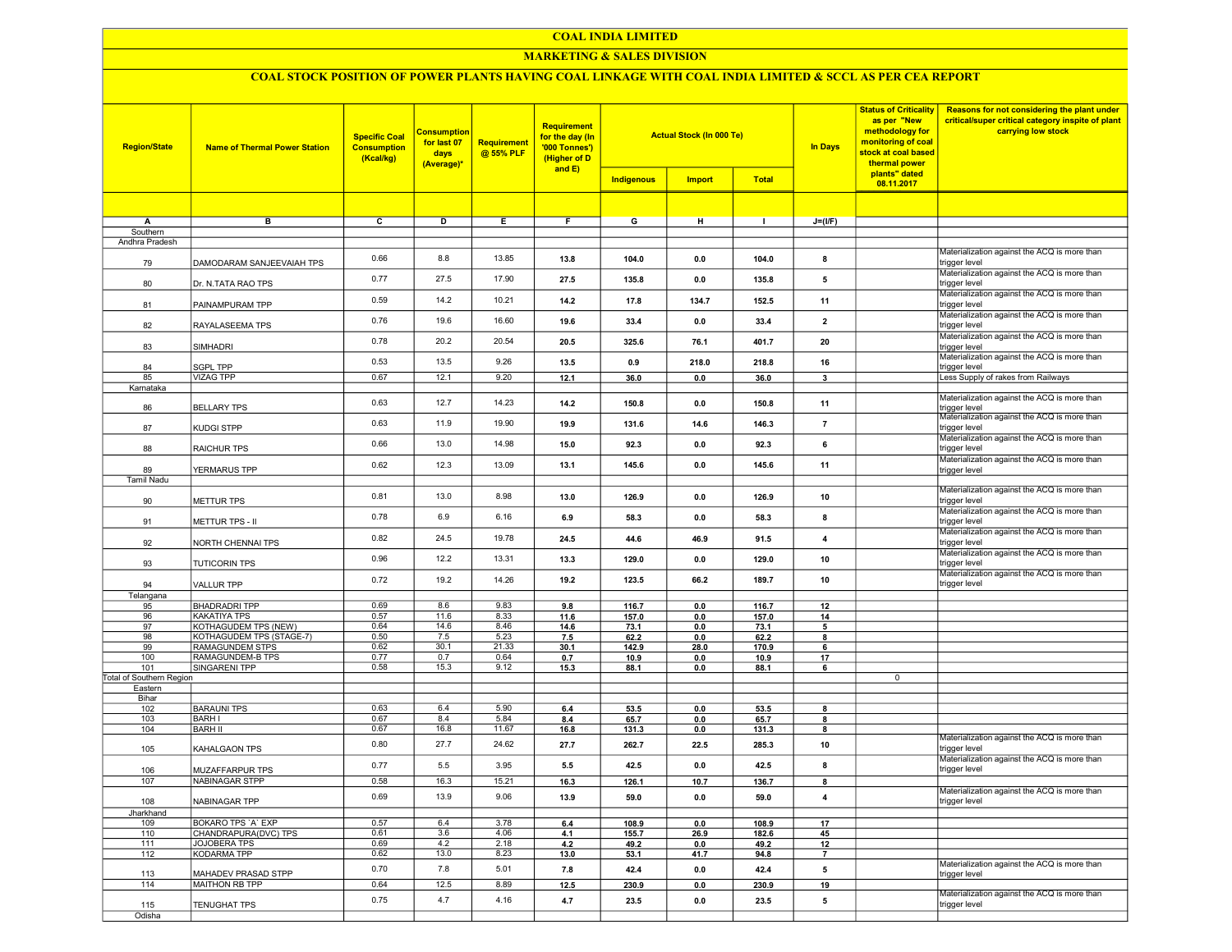#### MARKETING & SALES DIVISION

| <b>Region/State</b>             | <b>Name of Thermal Power Station</b>             | <b>Specific Coal</b><br><b>Consumption</b><br>(Kcal/kg) | <b>Consumption</b><br>for last 07<br>days<br>(Average)* | Requirement<br>@ 55% PLF | <b>Requirement</b><br>for the day (In<br>'000 Tonnes')<br>(Higher of D<br>and $E$ ) | <b>Actual Stock (In 000 Te)</b><br><b>Total</b><br>Indigenous<br><b>Import</b> |             |               | <b>In Days</b> | <b>Status of Criticality</b><br>as per "New<br>methodology for<br>monitoring of coal<br>stock at coal based<br>thermal power<br>plants" dated | Reasons for not considering the plant under<br>critical/super critical category inspite of plant<br>carrying low stock |
|---------------------------------|--------------------------------------------------|---------------------------------------------------------|---------------------------------------------------------|--------------------------|-------------------------------------------------------------------------------------|--------------------------------------------------------------------------------|-------------|---------------|----------------|-----------------------------------------------------------------------------------------------------------------------------------------------|------------------------------------------------------------------------------------------------------------------------|
|                                 |                                                  |                                                         |                                                         |                          |                                                                                     |                                                                                |             |               |                | 08.11.2017                                                                                                                                    |                                                                                                                        |
|                                 |                                                  |                                                         |                                                         |                          |                                                                                     |                                                                                |             |               |                |                                                                                                                                               |                                                                                                                        |
| A                               | в                                                | $\overline{c}$                                          | $\overline{D}$                                          | Ε                        | F                                                                                   | G                                                                              | н           | $\mathbf{I}$  | $J=(I/F)$      |                                                                                                                                               |                                                                                                                        |
| Southern                        |                                                  |                                                         |                                                         |                          |                                                                                     |                                                                                |             |               |                |                                                                                                                                               |                                                                                                                        |
| Andhra Pradesh                  |                                                  |                                                         |                                                         |                          |                                                                                     |                                                                                |             |               |                |                                                                                                                                               |                                                                                                                        |
|                                 | DAMODARAM SANJEEVAIAH TPS                        | 0.66                                                    | 8.8                                                     | 13.85                    | 13.8                                                                                | 104.0                                                                          | 0.0         | 104.0         | 8              |                                                                                                                                               | Materialization against the ACQ is more than<br>trigger level                                                          |
| 79                              |                                                  |                                                         |                                                         |                          |                                                                                     |                                                                                |             |               |                |                                                                                                                                               | Materialization against the ACQ is more than                                                                           |
| 80                              | Dr. N.TATA RAO TPS                               | 0.77                                                    | 27.5                                                    | 17.90                    | 27.5                                                                                | 135.8                                                                          | 0.0         | 135.8         | 5              |                                                                                                                                               | trigger level                                                                                                          |
|                                 |                                                  | 0.59                                                    | 14.2                                                    | 10.21                    | 14.2                                                                                | 17.8                                                                           | 134.7       | 152.5         | 11             |                                                                                                                                               | Materialization against the ACQ is more than<br>trigger level                                                          |
| 81                              | PAINAMPURAM TPP                                  |                                                         |                                                         |                          |                                                                                     |                                                                                |             |               |                |                                                                                                                                               | Materialization against the ACQ is more than                                                                           |
| 82                              | RAYALASEEMA TPS                                  | 0.76                                                    | 19.6                                                    | 16.60                    | 19.6                                                                                | 33.4                                                                           | 0.0         | 33.4          | $\overline{2}$ |                                                                                                                                               | trigger level                                                                                                          |
|                                 |                                                  | 0.78                                                    | 20.2                                                    | 20.54                    | 20.5                                                                                | 325.6                                                                          | 76.1        | 401.7         | 20             |                                                                                                                                               | Materialization against the ACQ is more than                                                                           |
| 83                              | SIMHADRI                                         |                                                         |                                                         |                          |                                                                                     |                                                                                |             |               |                |                                                                                                                                               | trigger level                                                                                                          |
| 84                              | <b>SGPL TPP</b>                                  | 0.53                                                    | 13.5                                                    | 9.26                     | 13.5                                                                                | 0.9                                                                            | 218.0       | 218.8         | 16             |                                                                                                                                               | Materialization against the ACQ is more than<br>trigger level                                                          |
| 85                              | VIZAG TPP                                        | 0.67                                                    | 12.1                                                    | 9.20                     | 12.1                                                                                | 36.0                                                                           | 0.0         | 36.0          | 3              |                                                                                                                                               | Less Supply of rakes from Railways                                                                                     |
| Karnataka                       |                                                  |                                                         |                                                         |                          |                                                                                     |                                                                                |             |               |                |                                                                                                                                               |                                                                                                                        |
| 86                              | <b>BELLARY TPS</b>                               | 0.63                                                    | 12.7                                                    | 14.23                    | 14.2                                                                                | 150.8                                                                          | 0.0         | 150.8         | 11             |                                                                                                                                               | Materialization against the ACQ is more than                                                                           |
|                                 |                                                  |                                                         |                                                         |                          |                                                                                     |                                                                                |             |               |                |                                                                                                                                               | trigger level<br>Materialization against the ACQ is more than                                                          |
| 87                              | KUDGI STPP                                       | 0.63                                                    | 11.9                                                    | 19.90                    | 19.9                                                                                | 131.6                                                                          | 14.6        | 146.3         | $\overline{7}$ |                                                                                                                                               | trigger level                                                                                                          |
|                                 |                                                  | 0.66                                                    | 13.0                                                    | 14.98                    | 15.0                                                                                | 92.3                                                                           | 0.0         | 92.3          | 6              |                                                                                                                                               | Materialization against the ACQ is more than                                                                           |
| 88                              | RAICHUR TPS                                      |                                                         |                                                         |                          |                                                                                     |                                                                                |             |               |                |                                                                                                                                               | trigger level                                                                                                          |
| 89                              | YERMARUS TPP                                     | 0.62                                                    | 12.3                                                    | 13.09                    | 13.1                                                                                | 145.6                                                                          | 0.0         | 145.6         | 11             |                                                                                                                                               | Materialization against the ACQ is more than<br>trigger level                                                          |
| Tamil Nadu                      |                                                  |                                                         |                                                         |                          |                                                                                     |                                                                                |             |               |                |                                                                                                                                               |                                                                                                                        |
|                                 |                                                  | 0.81                                                    | 13.0                                                    | 8.98                     | 13.0                                                                                | 126.9                                                                          | 0.0         | 126.9         | 10             |                                                                                                                                               | Materialization against the ACQ is more than                                                                           |
| 90                              | METTUR TPS                                       |                                                         |                                                         |                          |                                                                                     |                                                                                |             |               |                |                                                                                                                                               | trigger level                                                                                                          |
| 91                              | METTUR TPS - II                                  | 0.78                                                    | 6.9                                                     | 6.16                     | 6.9                                                                                 | 58.3                                                                           | 0.0         | 58.3          | 8              |                                                                                                                                               | Materialization against the ACQ is more than<br>trigger level                                                          |
|                                 |                                                  |                                                         |                                                         |                          |                                                                                     |                                                                                |             |               |                |                                                                                                                                               | Materialization against the ACQ is more than                                                                           |
| 92                              | NORTH CHENNAI TPS                                | 0.82                                                    | 24.5                                                    | 19.78                    | 24.5                                                                                | 44.6                                                                           | 46.9        | 91.5          | 4              |                                                                                                                                               | trigger level                                                                                                          |
|                                 |                                                  | 0.96                                                    | 12.2                                                    | 13.31                    | 13.3                                                                                | 129.0                                                                          | 0.0         | 129.0         | 10             |                                                                                                                                               | Materialization against the ACQ is more than                                                                           |
| 93                              | <b>TUTICORIN TPS</b>                             |                                                         |                                                         |                          |                                                                                     |                                                                                |             |               |                |                                                                                                                                               | trigger level<br>Materialization against the ACQ is more than                                                          |
| 94                              | VALLUR TPP                                       | 0.72                                                    | 19.2                                                    | 14.26                    | 19.2                                                                                | 123.5                                                                          | 66.2        | 189.7         | 10             |                                                                                                                                               | trigger level                                                                                                          |
| Telangana                       |                                                  |                                                         |                                                         |                          |                                                                                     |                                                                                |             |               |                |                                                                                                                                               |                                                                                                                        |
| 95                              | BHADRADRI TPP                                    | 0.69                                                    | 8.6                                                     | 9.83                     | 9.8                                                                                 | 116.7                                                                          | 0.0         | 116.7         | 12             |                                                                                                                                               |                                                                                                                        |
| 96                              | KAKATIYA TPS                                     | 0.57                                                    | 11.6                                                    | 8.33                     | 11.6                                                                                | 157.0                                                                          | 0.0         | 157.0         | 14             |                                                                                                                                               |                                                                                                                        |
| 97                              | KOTHAGUDEM TPS (NEW)<br>KOTHAGUDEM TPS (STAGE-7) | 0.64<br>0.50                                            | 14.6<br>7.5                                             | 8.46<br>5.23             | 14.6                                                                                | 73.1                                                                           | 0.0         | 73.1          | 5              |                                                                                                                                               |                                                                                                                        |
| 98<br>99                        | <b>RAMAGUNDEM STPS</b>                           | 0.62                                                    | 30.1                                                    | 21.33                    | 7.5                                                                                 | 62.2                                                                           | 0.0<br>28.0 | 62.2<br>170.9 | 8              |                                                                                                                                               |                                                                                                                        |
| 100                             | RAMAGUNDEM-B TPS                                 | 0.77                                                    | 0.7                                                     | 0.64                     | 30.1                                                                                | 142.9                                                                          |             |               | 6              |                                                                                                                                               |                                                                                                                        |
| 101                             | SINGARENI TPP                                    | 0.58                                                    | 15.3                                                    | 9.12                     | 0.7<br>15.3                                                                         | 10.9<br>88.1                                                                   | 0.0<br>0.0  | 10.9<br>88.1  | 17             |                                                                                                                                               |                                                                                                                        |
| <b>Total of Southern Region</b> |                                                  |                                                         |                                                         |                          |                                                                                     |                                                                                |             |               | 6              | $\mathbf 0$                                                                                                                                   |                                                                                                                        |
| Eastern                         |                                                  |                                                         |                                                         |                          |                                                                                     |                                                                                |             |               |                |                                                                                                                                               |                                                                                                                        |
| Bihar                           |                                                  |                                                         |                                                         |                          |                                                                                     |                                                                                |             |               |                |                                                                                                                                               |                                                                                                                        |
| 102                             | <b>BARAUNI TPS</b>                               | 0.63                                                    | 6.4                                                     | 5.90                     | 6.4                                                                                 | 53.5                                                                           | 0.0         | 53.5          | 8              |                                                                                                                                               |                                                                                                                        |
| 103                             | <b>BARHI</b>                                     | 0.67                                                    | 8.4                                                     | 5.84                     | 8.4                                                                                 | 65.7                                                                           | 0.0         | 65.7          | 8              |                                                                                                                                               |                                                                                                                        |
| 104                             | <b>BARH II</b>                                   | 0.67                                                    | 16.8                                                    | 11.67                    | 16.8                                                                                | 131.3                                                                          | 0.0         | 131.3         | 8              |                                                                                                                                               |                                                                                                                        |
|                                 |                                                  |                                                         |                                                         |                          |                                                                                     |                                                                                |             |               |                |                                                                                                                                               | Materialization against the ACQ is more than                                                                           |
| 105                             | KAHALGAON TPS                                    | 0.80                                                    | 27.7                                                    | 24.62                    | 27.7                                                                                | 262.7                                                                          | 22.5        | 285.3         | 10             |                                                                                                                                               | trigger level                                                                                                          |
|                                 |                                                  | 0.77                                                    | 5.5                                                     | 3.95                     | 5.5                                                                                 | 42.5                                                                           | 0.0         | 42.5          | 8              |                                                                                                                                               | Materialization against the ACQ is more than                                                                           |
| 106                             | MUZAFFARPUR TPS                                  |                                                         |                                                         |                          |                                                                                     |                                                                                |             |               |                |                                                                                                                                               | trigger level                                                                                                          |
| 107                             | NABINAGAR STPP                                   | 0.58                                                    | 16.3                                                    | 15.21                    | 16.3                                                                                | 126.1                                                                          | 10.7        | 136.7         | 8              |                                                                                                                                               | Materialization against the ACQ is more than                                                                           |
| 108                             | NABINAGAR TPP                                    | 0.69                                                    | 13.9                                                    | 9.06                     | 13.9                                                                                | 59.0                                                                           | 0.0         | 59.0          |                |                                                                                                                                               | trigger level                                                                                                          |
| Jharkhand                       |                                                  |                                                         |                                                         |                          |                                                                                     |                                                                                |             |               |                |                                                                                                                                               |                                                                                                                        |
| 109                             | <b>BOKARO TPS 'A' EXP</b>                        | 0.57                                                    | 6.4                                                     | 3.78                     | 6.4                                                                                 | 108.9                                                                          | 0.0         | 108.9         | 17             |                                                                                                                                               |                                                                                                                        |
| 110                             | CHANDRAPURA(DVC) TPS                             | 0.61                                                    | 3.6                                                     | 4.06                     | 4.1                                                                                 | 155.7                                                                          | 26.9        | 182.6         | 45             |                                                                                                                                               |                                                                                                                        |
| 111                             | JOJOBERA TPS                                     | 0.69                                                    | 4.2                                                     | 2.18                     | 4.2                                                                                 | 49.2                                                                           | 0.0         | 49.2          | 12             |                                                                                                                                               |                                                                                                                        |
| 112                             | KODARMA TPP                                      | 0.62                                                    | 13.0                                                    | 8.23                     | 13.0                                                                                | 53.1                                                                           | 41.7        | 94.8          | $\overline{7}$ |                                                                                                                                               |                                                                                                                        |
|                                 |                                                  |                                                         |                                                         |                          |                                                                                     |                                                                                |             |               |                |                                                                                                                                               | Materialization against the ACQ is more than                                                                           |
| 113                             | MAHADEV PRASAD STPP                              | 0.70                                                    | 7.8                                                     | 5.01                     | 7.8                                                                                 | 42.4                                                                           | 0.0         | 42.4          | 5              |                                                                                                                                               | trigger level                                                                                                          |
| 114                             | <b>MAITHON RB TPP</b>                            | 0.64                                                    | 12.5                                                    | 8.89                     | 12.5                                                                                | 230.9                                                                          | 0.0         | 230.9         | 19             |                                                                                                                                               | Materialization against the ACQ is more than                                                                           |
| 115                             | <b>TENUGHAT TPS</b>                              | 0.75                                                    | 4.7                                                     | 4.16                     | 4.7                                                                                 | 23.5                                                                           | 0.0         | 23.5          | 5              |                                                                                                                                               | trigger level                                                                                                          |
| Odisha                          |                                                  |                                                         |                                                         |                          |                                                                                     |                                                                                |             |               |                |                                                                                                                                               |                                                                                                                        |
|                                 |                                                  |                                                         |                                                         |                          |                                                                                     |                                                                                |             |               |                |                                                                                                                                               |                                                                                                                        |